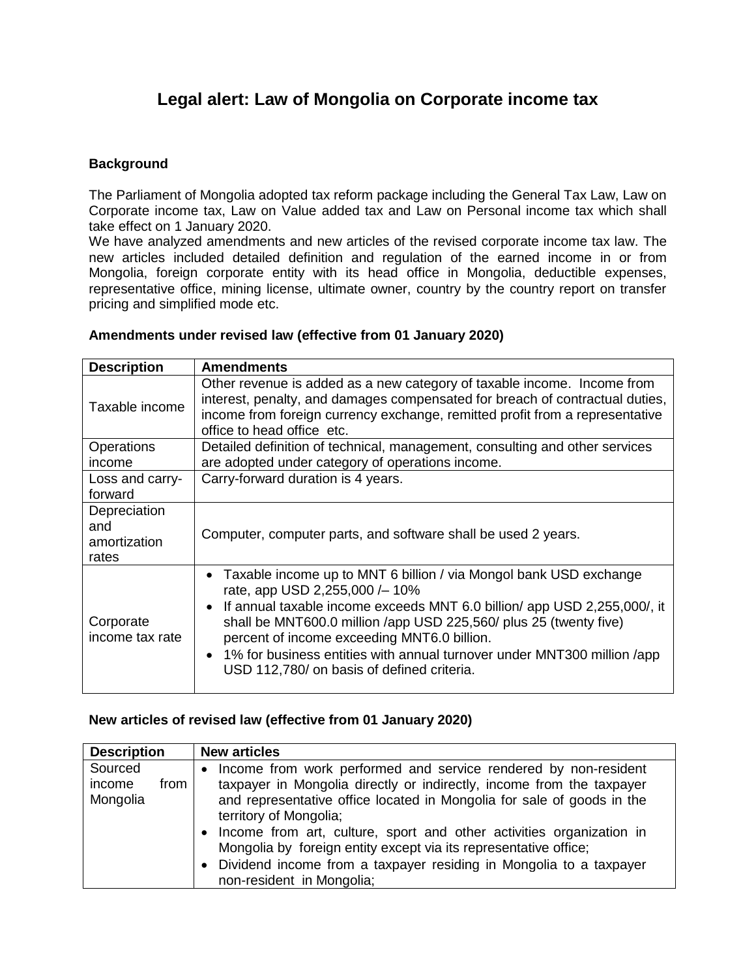## **Legal alert: Law of Mongolia on Corporate income tax**

## **Background**

The Parliament of Mongolia adopted tax reform package including the General Tax Law, Law on Corporate income tax, Law on Value added tax and Law on Personal income tax which shall take effect on 1 January 2020.

We have analyzed amendments and new articles of the revised corporate income tax law. The new articles included detailed definition and regulation of the earned income in or from Mongolia, foreign corporate entity with its head office in Mongolia, deductible expenses, representative office, mining license, ultimate owner, country by the country report on transfer pricing and simplified mode etc.

| <b>Description</b>                           | <b>Amendments</b>                                                                                                                                                                                                                                                                                                                                                                                                                 |
|----------------------------------------------|-----------------------------------------------------------------------------------------------------------------------------------------------------------------------------------------------------------------------------------------------------------------------------------------------------------------------------------------------------------------------------------------------------------------------------------|
| Taxable income                               | Other revenue is added as a new category of taxable income. Income from<br>interest, penalty, and damages compensated for breach of contractual duties,<br>income from foreign currency exchange, remitted profit from a representative<br>office to head office etc.                                                                                                                                                             |
| Operations<br>income                         | Detailed definition of technical, management, consulting and other services<br>are adopted under category of operations income.                                                                                                                                                                                                                                                                                                   |
| Loss and carry-<br>forward                   | Carry-forward duration is 4 years.                                                                                                                                                                                                                                                                                                                                                                                                |
| Depreciation<br>and<br>amortization<br>rates | Computer, computer parts, and software shall be used 2 years.                                                                                                                                                                                                                                                                                                                                                                     |
| Corporate<br>income tax rate                 | Taxable income up to MNT 6 billion / via Mongol bank USD exchange<br>rate, app USD 2,255,000 / – 10%<br>• If annual taxable income exceeds MNT 6.0 billion/ app USD 2,255,000/, it<br>shall be MNT600.0 million /app USD 225,560/ plus 25 (twenty five)<br>percent of income exceeding MNT6.0 billion.<br>• 1% for business entities with annual turnover under MNT300 million /app<br>USD 112,780/ on basis of defined criteria. |

## **Amendments under revised law (effective from 01 January 2020)**

## **New articles of revised law (effective from 01 January 2020)**

| <b>Description</b>                    | <b>New articles</b>                                                                                                                                                                                                                                                                                                                                                                                                                                                                         |
|---------------------------------------|---------------------------------------------------------------------------------------------------------------------------------------------------------------------------------------------------------------------------------------------------------------------------------------------------------------------------------------------------------------------------------------------------------------------------------------------------------------------------------------------|
| Sourced<br>income<br>from<br>Mongolia | Income from work performed and service rendered by non-resident<br>taxpayer in Mongolia directly or indirectly, income from the taxpayer<br>and representative office located in Mongolia for sale of goods in the<br>territory of Mongolia;<br>Income from art, culture, sport and other activities organization in<br>Mongolia by foreign entity except via its representative office;<br>Dividend income from a taxpayer residing in Mongolia to a taxpayer<br>non-resident in Mongolia; |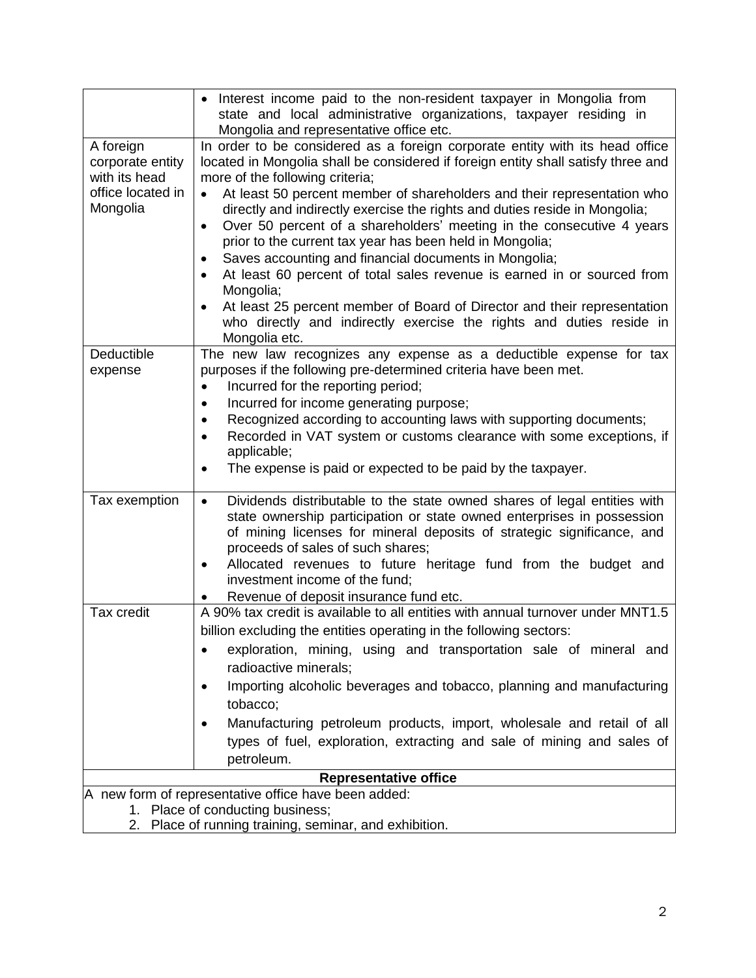|                                                        | • Interest income paid to the non-resident taxpayer in Mongolia from<br>state and local administrative organizations, taxpayer residing in                                                                                                                                                                                                                                                                                                                                                                                                                                                                                |  |
|--------------------------------------------------------|---------------------------------------------------------------------------------------------------------------------------------------------------------------------------------------------------------------------------------------------------------------------------------------------------------------------------------------------------------------------------------------------------------------------------------------------------------------------------------------------------------------------------------------------------------------------------------------------------------------------------|--|
|                                                        | Mongolia and representative office etc.                                                                                                                                                                                                                                                                                                                                                                                                                                                                                                                                                                                   |  |
| A foreign<br>corporate entity<br>with its head         | In order to be considered as a foreign corporate entity with its head office<br>located in Mongolia shall be considered if foreign entity shall satisfy three and<br>more of the following criteria;                                                                                                                                                                                                                                                                                                                                                                                                                      |  |
| office located in<br>Mongolia                          | At least 50 percent member of shareholders and their representation who<br>$\bullet$<br>directly and indirectly exercise the rights and duties reside in Mongolia;<br>Over 50 percent of a shareholders' meeting in the consecutive 4 years<br>$\bullet$<br>prior to the current tax year has been held in Mongolia;<br>Saves accounting and financial documents in Mongolia;<br>At least 60 percent of total sales revenue is earned in or sourced from<br>Mongolia;<br>At least 25 percent member of Board of Director and their representation<br>who directly and indirectly exercise the rights and duties reside in |  |
|                                                        | Mongolia etc.                                                                                                                                                                                                                                                                                                                                                                                                                                                                                                                                                                                                             |  |
| Deductible<br>expense                                  | The new law recognizes any expense as a deductible expense for tax<br>purposes if the following pre-determined criteria have been met.<br>Incurred for the reporting period;<br>$\bullet$<br>Incurred for income generating purpose;<br>٠<br>Recognized according to accounting laws with supporting documents;<br>$\bullet$<br>Recorded in VAT system or customs clearance with some exceptions, if<br>applicable;                                                                                                                                                                                                       |  |
|                                                        | The expense is paid or expected to be paid by the taxpayer.<br>$\bullet$                                                                                                                                                                                                                                                                                                                                                                                                                                                                                                                                                  |  |
| Tax exemption                                          | Dividends distributable to the state owned shares of legal entities with<br>$\bullet$<br>state ownership participation or state owned enterprises in possession<br>of mining licenses for mineral deposits of strategic significance, and<br>proceeds of sales of such shares;<br>Allocated revenues to future heritage fund from the budget and<br>$\bullet$<br>investment income of the fund;<br>Revenue of deposit insurance fund etc.                                                                                                                                                                                 |  |
| Tax credit                                             | A 90% tax credit is available to all entities with annual turnover under MNT1.5                                                                                                                                                                                                                                                                                                                                                                                                                                                                                                                                           |  |
|                                                        | billion excluding the entities operating in the following sectors:                                                                                                                                                                                                                                                                                                                                                                                                                                                                                                                                                        |  |
|                                                        | exploration, mining, using and transportation sale of mineral and<br>radioactive minerals;                                                                                                                                                                                                                                                                                                                                                                                                                                                                                                                                |  |
|                                                        | Importing alcoholic beverages and tobacco, planning and manufacturing<br>tobacco;                                                                                                                                                                                                                                                                                                                                                                                                                                                                                                                                         |  |
|                                                        | Manufacturing petroleum products, import, wholesale and retail of all<br>types of fuel, exploration, extracting and sale of mining and sales of<br>petroleum.                                                                                                                                                                                                                                                                                                                                                                                                                                                             |  |
|                                                        | <b>Representative office</b>                                                                                                                                                                                                                                                                                                                                                                                                                                                                                                                                                                                              |  |
| A new form of representative office have been added:   |                                                                                                                                                                                                                                                                                                                                                                                                                                                                                                                                                                                                                           |  |
| 1. Place of conducting business;                       |                                                                                                                                                                                                                                                                                                                                                                                                                                                                                                                                                                                                                           |  |
| 2. Place of running training, seminar, and exhibition. |                                                                                                                                                                                                                                                                                                                                                                                                                                                                                                                                                                                                                           |  |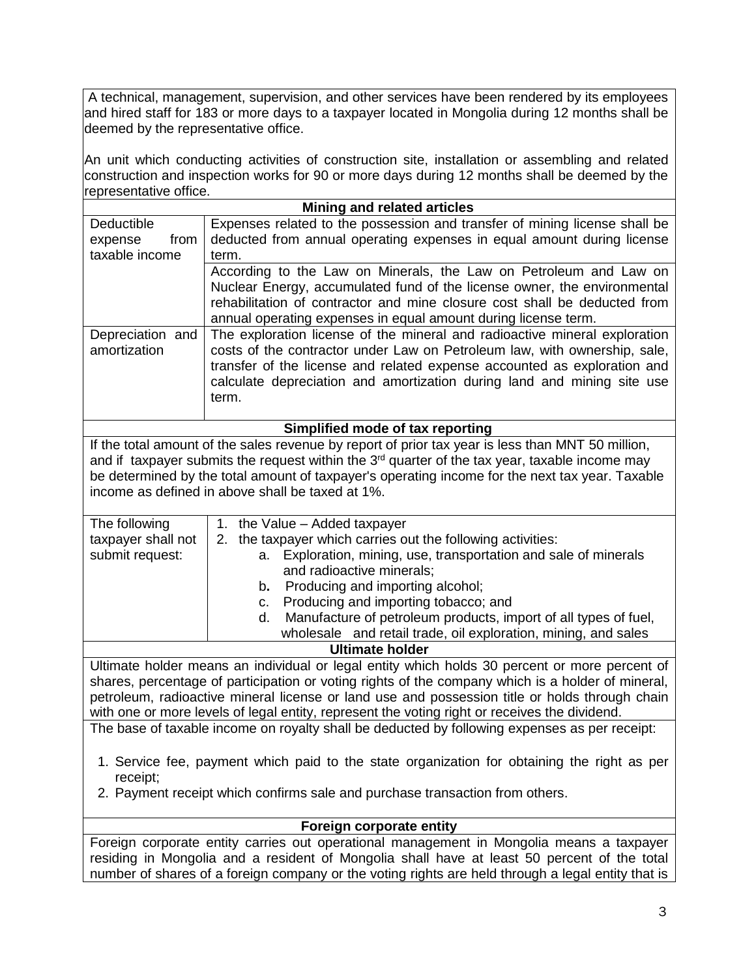A technical, management, supervision, and other services have been rendered by its employees and hired staff for 183 or more days to a taxpayer located in Mongolia during 12 months shall be deemed by the representative office.

An unit which conducting activities of construction site, installation or assembling and related construction and inspection works for 90 or more days during 12 months shall be deemed by the representative office.

|                                                                                               | <b>Mining and related articles</b>                                                                |  |
|-----------------------------------------------------------------------------------------------|---------------------------------------------------------------------------------------------------|--|
| Deductible                                                                                    | Expenses related to the possession and transfer of mining license shall be                        |  |
| from<br>expense                                                                               | deducted from annual operating expenses in equal amount during license                            |  |
| taxable income                                                                                | term.                                                                                             |  |
|                                                                                               | According to the Law on Minerals, the Law on Petroleum and Law on                                 |  |
|                                                                                               | Nuclear Energy, accumulated fund of the license owner, the environmental                          |  |
|                                                                                               | rehabilitation of contractor and mine closure cost shall be deducted from                         |  |
|                                                                                               | annual operating expenses in equal amount during license term.                                    |  |
| Depreciation and                                                                              | The exploration license of the mineral and radioactive mineral exploration                        |  |
| amortization                                                                                  | costs of the contractor under Law on Petroleum law, with ownership, sale,                         |  |
|                                                                                               | transfer of the license and related expense accounted as exploration and                          |  |
|                                                                                               | calculate depreciation and amortization during land and mining site use                           |  |
|                                                                                               | term.                                                                                             |  |
|                                                                                               |                                                                                                   |  |
|                                                                                               | Simplified mode of tax reporting                                                                  |  |
|                                                                                               | If the total amount of the sales revenue by report of prior tax year is less than MNT 50 million, |  |
|                                                                                               | and if taxpayer submits the request within the $3rd$ quarter of the tax year, taxable income may  |  |
|                                                                                               | be determined by the total amount of taxpayer's operating income for the next tax year. Taxable   |  |
|                                                                                               | income as defined in above shall be taxed at 1%.                                                  |  |
| The following                                                                                 | 1. the Value - Added taxpayer                                                                     |  |
| taxpayer shall not                                                                            | 2. the taxpayer which carries out the following activities:                                       |  |
| submit request:                                                                               | Exploration, mining, use, transportation and sale of minerals<br>a.                               |  |
|                                                                                               | and radioactive minerals;                                                                         |  |
|                                                                                               | Producing and importing alcohol;<br>b.                                                            |  |
|                                                                                               | Producing and importing tobacco; and<br>c.                                                        |  |
|                                                                                               | Manufacture of petroleum products, import of all types of fuel,<br>d.                             |  |
|                                                                                               | wholesale and retail trade, oil exploration, mining, and sales                                    |  |
|                                                                                               | <b>Ultimate holder</b>                                                                            |  |
|                                                                                               | Ultimate holder means an individual or legal entity which holds 30 percent or more percent of     |  |
|                                                                                               | shares, percentage of participation or voting rights of the company which is a holder of mineral, |  |
|                                                                                               | petroleum, radioactive mineral license or land use and possession title or holds through chain    |  |
|                                                                                               | with one or more levels of legal entity, represent the voting right or receives the dividend.     |  |
| The base of taxable income on royalty shall be deducted by following expenses as per receipt: |                                                                                                   |  |
|                                                                                               |                                                                                                   |  |
|                                                                                               | 1. Service fee, payment which paid to the state organization for obtaining the right as per       |  |
| receipt;                                                                                      |                                                                                                   |  |
| 2. Payment receipt which confirms sale and purchase transaction from others.                  |                                                                                                   |  |
|                                                                                               |                                                                                                   |  |
| Foreign corporate entity                                                                      |                                                                                                   |  |
| Foreign corporate entity carries out operational management in Mongolia means a taxpayer      |                                                                                                   |  |
| residing in Mongolia and a resident of Mongolia shall have at least 50 percent of the total   |                                                                                                   |  |

number of shares of a foreign company or the voting rights are held through a legal entity that is

3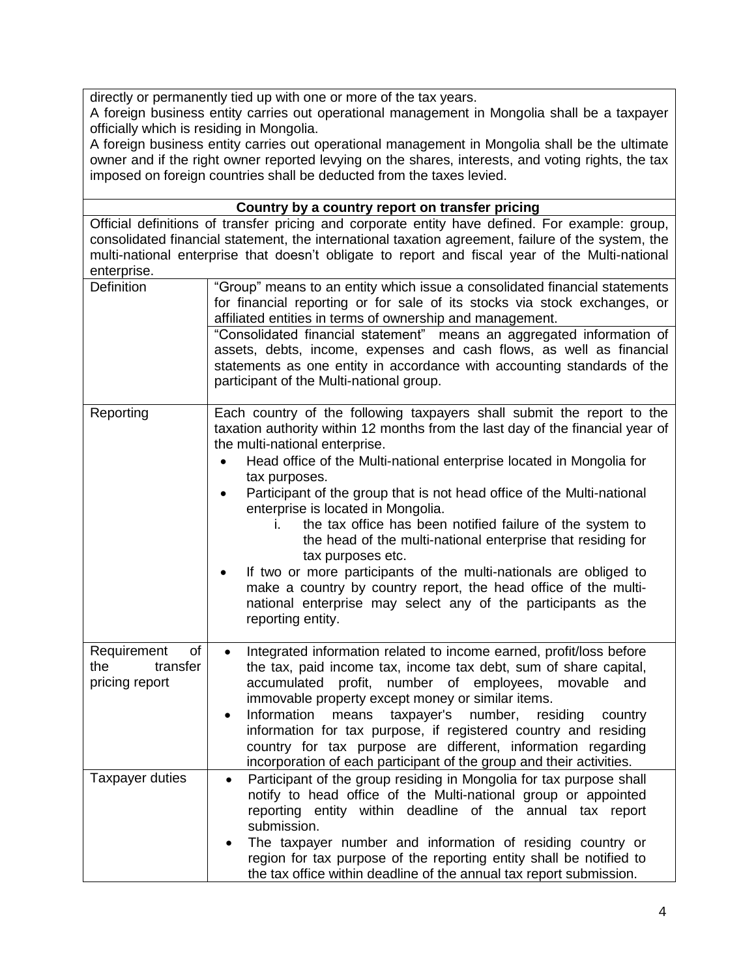directly or permanently tied up with one or more of the tax years.

A foreign business entity carries out operational management in Mongolia shall be a taxpayer officially which is residing in Mongolia.

A foreign business entity carries out operational management in Mongolia shall be the ultimate owner and if the right owner reported levying on the shares, interests, and voting rights, the tax imposed on foreign countries shall be deducted from the taxes levied.

| Country by a country report on transfer pricing                                                                                                                                                                                                                                                                         |                                                                                                                                                                                                                                                                                                                                                                                                                                                                                                                                                                 |  |
|-------------------------------------------------------------------------------------------------------------------------------------------------------------------------------------------------------------------------------------------------------------------------------------------------------------------------|-----------------------------------------------------------------------------------------------------------------------------------------------------------------------------------------------------------------------------------------------------------------------------------------------------------------------------------------------------------------------------------------------------------------------------------------------------------------------------------------------------------------------------------------------------------------|--|
| Official definitions of transfer pricing and corporate entity have defined. For example: group,<br>consolidated financial statement, the international taxation agreement, failure of the system, the<br>multi-national enterprise that doesn't obligate to report and fiscal year of the Multi-national<br>enterprise. |                                                                                                                                                                                                                                                                                                                                                                                                                                                                                                                                                                 |  |
| Definition                                                                                                                                                                                                                                                                                                              | "Group" means to an entity which issue a consolidated financial statements<br>for financial reporting or for sale of its stocks via stock exchanges, or<br>affiliated entities in terms of ownership and management.                                                                                                                                                                                                                                                                                                                                            |  |
|                                                                                                                                                                                                                                                                                                                         | "Consolidated financial statement" means an aggregated information of<br>assets, debts, income, expenses and cash flows, as well as financial<br>statements as one entity in accordance with accounting standards of the<br>participant of the Multi-national group.                                                                                                                                                                                                                                                                                            |  |
| Reporting                                                                                                                                                                                                                                                                                                               | Each country of the following taxpayers shall submit the report to the<br>taxation authority within 12 months from the last day of the financial year of<br>the multi-national enterprise.<br>Head office of the Multi-national enterprise located in Mongolia for<br>tax purposes.                                                                                                                                                                                                                                                                             |  |
|                                                                                                                                                                                                                                                                                                                         | Participant of the group that is not head office of the Multi-national<br>enterprise is located in Mongolia.<br>the tax office has been notified failure of the system to<br>İ.<br>the head of the multi-national enterprise that residing for<br>tax purposes etc.<br>If two or more participants of the multi-nationals are obliged to<br>$\bullet$                                                                                                                                                                                                           |  |
|                                                                                                                                                                                                                                                                                                                         | make a country by country report, the head office of the multi-<br>national enterprise may select any of the participants as the<br>reporting entity.                                                                                                                                                                                                                                                                                                                                                                                                           |  |
| Requirement<br>of<br>the<br>transfer<br>pricing report                                                                                                                                                                                                                                                                  | Integrated information related to income earned, profit/loss before<br>$\bullet$<br>the tax, paid income tax, income tax debt, sum of share capital,<br>profit, number of employees, movable<br>accumulated<br>and<br>immovable property except money or similar items.<br>Information<br>means<br>taxpayer's<br>number,<br>residing<br>country<br>٠<br>information for tax purpose, if registered country and residing<br>country for tax purpose are different, information regarding<br>incorporation of each participant of the group and their activities. |  |
| <b>Taxpayer duties</b>                                                                                                                                                                                                                                                                                                  | Participant of the group residing in Mongolia for tax purpose shall<br>notify to head office of the Multi-national group or appointed<br>reporting entity within deadline of the annual tax report<br>submission.<br>The taxpayer number and information of residing country or                                                                                                                                                                                                                                                                                 |  |
|                                                                                                                                                                                                                                                                                                                         | region for tax purpose of the reporting entity shall be notified to<br>the tax office within deadline of the annual tax report submission.                                                                                                                                                                                                                                                                                                                                                                                                                      |  |